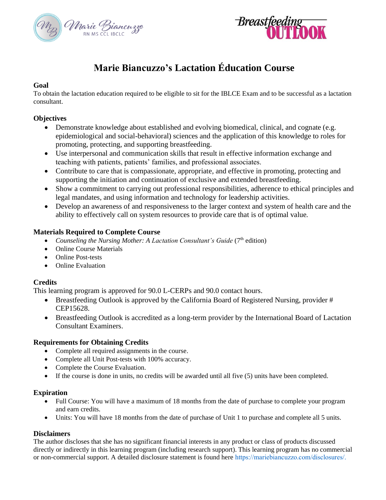



# **Marie Biancuzzo's Lactation Éducation Course**

### **Goal**

To obtain the lactation education required to be eligible to sit for the IBLCE Exam and to be successful as a lactation consultant.

### **Objectives**

- Demonstrate knowledge about established and evolving biomedical, clinical, and cognate (e.g. epidemiological and social-behavioral) sciences and the application of this knowledge to roles for promoting, protecting, and supporting breastfeeding.
- Use interpersonal and communication skills that result in effective information exchange and teaching with patients, patients' families, and professional associates.
- Contribute to care that is compassionate, appropriate, and effective in promoting, protecting and supporting the initiation and continuation of exclusive and extended breastfeeding.
- Show a commitment to carrying out professional responsibilities, adherence to ethical principles and legal mandates, and using information and technology for leadership activities.
- Develop an awareness of and responsiveness to the larger context and system of health care and the ability to effectively call on system resources to provide care that is of optimal value*.*

### **Materials Required to Complete Course**

- Counseling the Nursing Mother: A Lactation Consultant's Guide (7<sup>th</sup> edition)
- Online Course Materials
- Online Post-tests
- Online Evaluation

### **Credits**

This learning program is approved for 90.0 L-CERPs and 90.0 contact hours.

- Breastfeeding Outlook is approved by the California Board of Registered Nursing, provider # CEP15628.
- Breastfeeding Outlook is accredited as a long-term provider by the International Board of Lactation Consultant Examiners.

### **Requirements for Obtaining Credits**

- Complete all required assignments in the course.
- Complete all Unit Post-tests with 100% accuracy.
- Complete the Course Evaluation.
- If the course is done in units, no credits will be awarded until all five (5) units have been completed.

### **Expiration**

- Full Course: You will have a maximum of 18 months from the date of purchase to complete your program and earn credits.
- Units: You will have 18 months from the date of purchase of Unit 1 to purchase and complete all 5 units.

### **Disclaimers**

The author discloses that she has no significant financial interests in any product or class of products discussed directly or indirectly in this learning program (including research support). This learning program has no commercial or non-commercial support. A detailed disclosure statement is found here https://mariebiancuzzo.com/disclosures/.